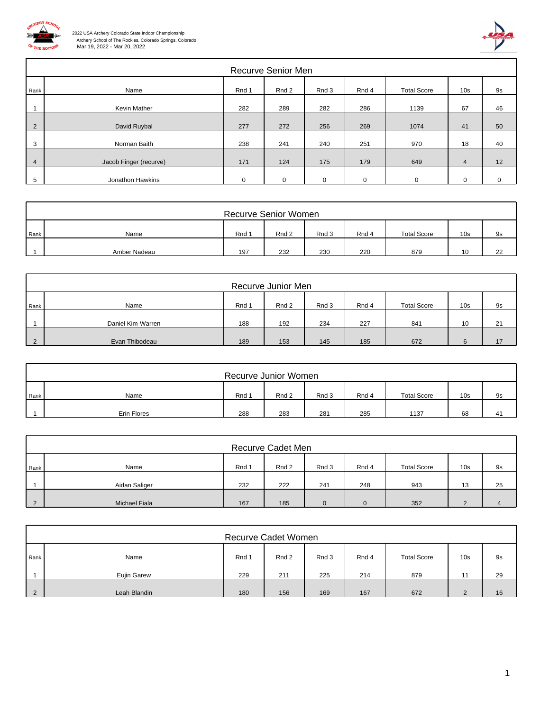

ſ



|                | Recurve Senior Men     |          |       |          |          |                    |                 |           |  |  |  |  |
|----------------|------------------------|----------|-------|----------|----------|--------------------|-----------------|-----------|--|--|--|--|
| Rank           | Name                   | Rnd 1    | Rnd 2 | Rnd 3    | Rnd 4    | <b>Total Score</b> | 10 <sub>s</sub> | <b>9s</b> |  |  |  |  |
|                | Kevin Mather           | 282      | 289   | 282      | 286      | 1139               | 67              | 46        |  |  |  |  |
| 2              | David Ruybal           | 277      | 272   | 256      | 269      | 1074               | 41              | 50        |  |  |  |  |
| 3              | Norman Baith           | 238      | 241   | 240      | 251      | 970                | 18              | 40        |  |  |  |  |
| $\overline{4}$ | Jacob Finger (recurve) | 171      | 124   | 175      | 179      | 649                | $\overline{4}$  | 12        |  |  |  |  |
| 5              | Jonathon Hawkins       | $\Omega$ |       | $\Omega$ | $\Omega$ |                    |                 |           |  |  |  |  |

|      | <b>Recurve Senior Women</b> |       |       |       |       |                    |                 |    |  |  |  |
|------|-----------------------------|-------|-------|-------|-------|--------------------|-----------------|----|--|--|--|
| Rank | Name                        | Rnd 1 | Rnd 2 | Rnd 3 | Rnd 4 | <b>Total Score</b> | 10 <sub>s</sub> | 9s |  |  |  |
|      | Amber Nadeau                | 197   | 232   | 230   | 220   | 879                |                 | 22 |  |  |  |

|          | Recurve Junior Men |       |       |       |       |                    |                 |    |  |  |  |
|----------|--------------------|-------|-------|-------|-------|--------------------|-----------------|----|--|--|--|
| l Rank   | Name               | Rnd 1 | Rnd 2 | Rnd 3 | Rnd 4 | <b>Total Score</b> | 10 <sub>s</sub> | 9s |  |  |  |
|          | Daniel Kim-Warren  | 188   | 192   | 234   | 227   | 841                | 10              | 21 |  |  |  |
| $\Omega$ | Evan Thibodeau     | 189   | 153   | 145   | 185   | 672                |                 | 17 |  |  |  |

|      | Recurve Junior Women |       |       |       |       |                    |                 |    |  |  |  |
|------|----------------------|-------|-------|-------|-------|--------------------|-----------------|----|--|--|--|
| Rank | Name                 | Rnd 1 | Rnd 2 | Rnd 3 | Rnd 4 | <b>Total Score</b> | 10 <sub>s</sub> | 9s |  |  |  |
|      | Erin Flores          | 288   | 283   | 281   | 285   | 1137               | 68              | 41 |  |  |  |

|               | Recurve Cadet Men |       |       |       |       |                    |                 |    |  |  |  |
|---------------|-------------------|-------|-------|-------|-------|--------------------|-----------------|----|--|--|--|
| Rank          | Name              | Rnd 1 | Rnd 2 | Rnd 3 | Rnd 4 | <b>Total Score</b> | 10 <sub>s</sub> | 9s |  |  |  |
|               | Aidan Saliger     | 232   | 222   | 241   | 248   | 943                | 13              | 25 |  |  |  |
| $\mathcal{P}$ | Michael Fiala     | 167   | 185   | 0     |       | 352                |                 |    |  |  |  |

|      | Recurve Cadet Women |       |       |       |       |                    |                 |    |  |  |  |
|------|---------------------|-------|-------|-------|-------|--------------------|-----------------|----|--|--|--|
| Rank | Name                | Rnd 1 | Rnd 2 | Rnd 3 | Rnd 4 | <b>Total Score</b> | 10 <sub>s</sub> | 9s |  |  |  |
|      | Eujin Garew         | 229   | 211   | 225   | 214   | 879                | $\overline{A}$  | 29 |  |  |  |
|      | Leah Blandin        | 180   | 156   | 169   | 167   | 672                |                 | 16 |  |  |  |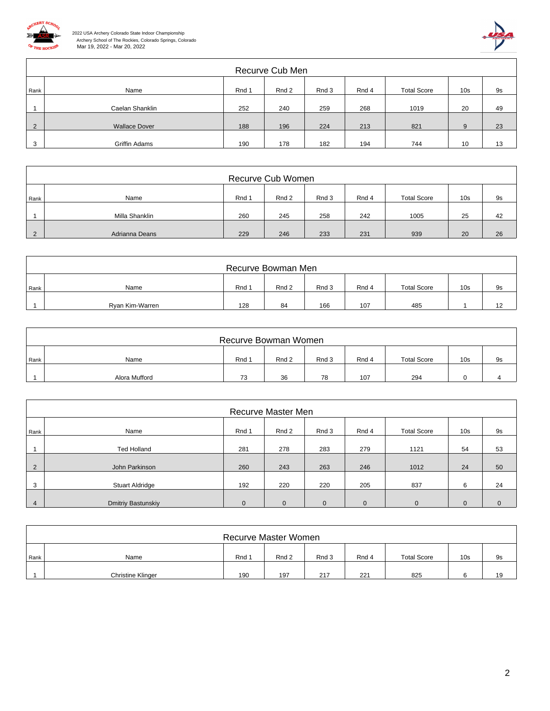



|                | Recurve Cub Men      |       |       |       |       |                    |                 |    |  |  |  |
|----------------|----------------------|-------|-------|-------|-------|--------------------|-----------------|----|--|--|--|
| Rank           | Name                 | Rnd 1 | Rnd 2 | Rnd 3 | Rnd 4 | <b>Total Score</b> | 10 <sub>s</sub> | 9s |  |  |  |
|                | Caelan Shanklin      | 252   | 240   | 259   | 268   | 1019               | 20              | 49 |  |  |  |
| $\overline{2}$ | <b>Wallace Dover</b> | 188   | 196   | 224   | 213   | 821                | $\Omega$        | 23 |  |  |  |
| 3              | <b>Griffin Adams</b> | 190   | 178   | 182   | 194   | 744                | 10              | 13 |  |  |  |

|          | Recurve Cub Women |       |       |       |       |                    |                 |    |  |  |  |
|----------|-------------------|-------|-------|-------|-------|--------------------|-----------------|----|--|--|--|
| Rank     | Name              | Rnd 1 | Rnd 2 | Rnd 3 | Rnd 4 | <b>Total Score</b> | 10 <sub>s</sub> | 9s |  |  |  |
|          | Milla Shanklin    | 260   | 245   | 258   | 242   | 1005               | 25              | 42 |  |  |  |
| $\Omega$ | Adrianna Deans    | 229   | 246   | 233   | 231   | 939                | 20              | 26 |  |  |  |

|      | Recurve Bowman Men |       |       |       |       |                    |                 |    |  |  |  |
|------|--------------------|-------|-------|-------|-------|--------------------|-----------------|----|--|--|--|
| Rank | Name               | Rnd 1 | Rnd 2 | Rnd 3 | Rnd 4 | <b>Total Score</b> | 10 <sub>s</sub> | 9s |  |  |  |
|      | Ryan Kim-Warren    | 128   | 84    | 166   | 107   | 485                |                 | 12 |  |  |  |

|      | Recurve Bowman Women |       |       |       |       |                    |                 |    |  |  |  |
|------|----------------------|-------|-------|-------|-------|--------------------|-----------------|----|--|--|--|
| Rank | Name                 | Rnd 1 | Rnd 2 | Rnd 3 | Rnd 4 | <b>Total Score</b> | 10 <sub>s</sub> | 9s |  |  |  |
|      | Alora Mufford        | 73    | 36    | 78    | 107   | 294                |                 |    |  |  |  |

|      | Recurve Master Men        |             |              |              |          |                    |                 |                |  |  |  |
|------|---------------------------|-------------|--------------|--------------|----------|--------------------|-----------------|----------------|--|--|--|
| Rank | Name                      | Rnd 1       | Rnd 2        | Rnd 3        | Rnd 4    | <b>Total Score</b> | 10 <sub>s</sub> | 9s             |  |  |  |
|      | <b>Ted Holland</b>        | 281         | 278          | 283          | 279      | 1121               | 54              | 53             |  |  |  |
| 2    | John Parkinson            | 260         | 243          | 263          | 246      | 1012               | 24              | 50             |  |  |  |
| 3    | <b>Stuart Aldridge</b>    | 192         | 220          | 220          | 205      | 837                | 6               | 24             |  |  |  |
| 4    | <b>Dmitriy Bastunskiy</b> | $\mathbf 0$ | $\mathbf{0}$ | $\mathbf{0}$ | $\Omega$ | $\mathbf{0}$       | $\Omega$        | $\overline{0}$ |  |  |  |

|      | Recurve Master Women     |       |       |       |       |                    |                 |    |  |  |  |
|------|--------------------------|-------|-------|-------|-------|--------------------|-----------------|----|--|--|--|
| Rank | Name                     | Rnd 1 | Rnd 2 | Rnd 3 | Rnd 4 | <b>Total Score</b> | 10 <sub>s</sub> | 9s |  |  |  |
|      | <b>Christine Klinger</b> | 190   | 197   | 217   | 221   | 825                |                 | 19 |  |  |  |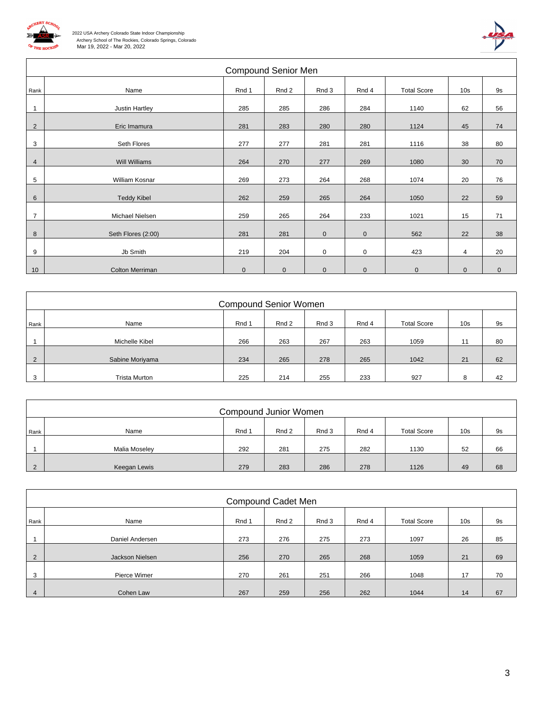

Г

 2022 USA Archery Colorado State Indoor Championship Archery School of The Rockies, Colorado Springs, Colorado Mar 19, 2022 - Mar 20, 2022



|                |                        | <b>Compound Senior Men</b> |             |             |             |                    |                 |             |
|----------------|------------------------|----------------------------|-------------|-------------|-------------|--------------------|-----------------|-------------|
| Rank           | Name                   | Rnd 1                      | Rnd 2       | Rnd 3       | Rnd 4       | <b>Total Score</b> | 10 <sub>s</sub> | 9s          |
| $\overline{1}$ | Justin Hartley         | 285                        | 285         | 286         | 284         | 1140               | 62              | 56          |
| $\overline{2}$ | Eric Imamura           | 281                        | 283         | 280         | 280         | 1124               | 45              | 74          |
| 3              | Seth Flores            | 277                        | 277         | 281         | 281         | 1116               | 38              | 80          |
| 4              | <b>Will Williams</b>   | 264                        | 270         | 277         | 269         | 1080               | 30              | 70          |
| 5              | William Kosnar         | 269                        | 273         | 264         | 268         | 1074               | 20              | 76          |
| 6              | <b>Teddy Kibel</b>     | 262                        | 259         | 265         | 264         | 1050               | 22              | 59          |
| $\overline{7}$ | Michael Nielsen        | 259                        | 265         | 264         | 233         | 1021               | 15              | 71          |
| 8              | Seth Flores (2:00)     | 281                        | 281         | $\mathbf 0$ | $\mathbf 0$ | 562                | 22              | 38          |
| 9              | Jb Smith               | 219                        | 204         | $\mathbf 0$ | 0           | 423                | 4               | 20          |
| 10             | <b>Colton Merriman</b> | $\mathbf 0$                | $\mathbf 0$ | $\mathbf 0$ | $\pmb{0}$   | $\mathbf 0$        | $\mathbf 0$     | $\mathbf 0$ |

|                         | <b>Compound Senior Women</b> |       |       |       |       |                    |                 |    |  |  |  |  |
|-------------------------|------------------------------|-------|-------|-------|-------|--------------------|-----------------|----|--|--|--|--|
| Rank                    | Name                         | Rnd 1 | Rnd 2 | Rnd 3 | Rnd 4 | <b>Total Score</b> | 10 <sub>s</sub> | 9s |  |  |  |  |
|                         | Michelle Kibel               | 266   | 263   | 267   | 263   | 1059               | 11              | 80 |  |  |  |  |
| 2                       | Sabine Moriyama              | 234   | 265   | 278   | 265   | 1042               | 21              | 62 |  |  |  |  |
| $\mathbf{r}$<br>$\cdot$ | <b>Trista Murton</b>         | 225   | 214   | 255   | 233   | 927                |                 | 42 |  |  |  |  |

|      | Compound Junior Women |       |       |       |       |                    |                 |    |  |  |  |
|------|-----------------------|-------|-------|-------|-------|--------------------|-----------------|----|--|--|--|
| Rank | Name                  | Rnd 1 | Rnd 2 | Rnd 3 | Rnd 4 | <b>Total Score</b> | 10 <sub>s</sub> | 9s |  |  |  |
|      | Malia Moseley         | 292   | 281   | 275   | 282   | 1130               | 52              | 66 |  |  |  |
|      | Keegan Lewis          | 279   | 283   | 286   | 278   | 1126               | 49              | 68 |  |  |  |

|                | Compound Cadet Men |       |       |       |       |                    |                 |    |  |  |  |  |
|----------------|--------------------|-------|-------|-------|-------|--------------------|-----------------|----|--|--|--|--|
| Rank           | Name               | Rnd 1 | Rnd 2 | Rnd 3 | Rnd 4 | <b>Total Score</b> | 10 <sub>s</sub> | 9s |  |  |  |  |
|                | Daniel Andersen    | 273   | 276   | 275   | 273   | 1097               | 26              | 85 |  |  |  |  |
| 2              | Jackson Nielsen    | 256   | 270   | 265   | 268   | 1059               | 21              | 69 |  |  |  |  |
| 3              | Pierce Wimer       | 270   | 261   | 251   | 266   | 1048               | 17              | 70 |  |  |  |  |
| $\overline{4}$ | Cohen Law          | 267   | 259   | 256   | 262   | 1044               | 14              | 67 |  |  |  |  |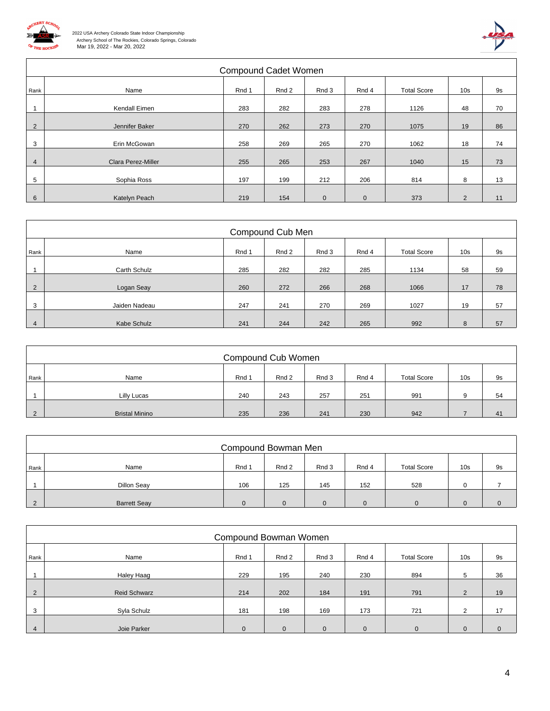

 $\sqrt{ }$ 



|                | <b>Compound Cadet Women</b> |       |       |             |             |                    |                 |           |  |  |  |  |  |
|----------------|-----------------------------|-------|-------|-------------|-------------|--------------------|-----------------|-----------|--|--|--|--|--|
| Rank           | Name                        | Rnd 1 | Rnd 2 | Rnd 3       | Rnd 4       | <b>Total Score</b> | 10 <sub>s</sub> | <b>9s</b> |  |  |  |  |  |
|                | Kendall Eimen               | 283   | 282   | 283         | 278         | 1126               | 48              | 70        |  |  |  |  |  |
| 2              | Jennifer Baker              | 270   | 262   | 273         | 270         | 1075               | 19              | 86        |  |  |  |  |  |
| 3              | Erin McGowan                | 258   | 269   | 265         | 270         | 1062               | 18              | 74        |  |  |  |  |  |
| $\overline{4}$ | <b>Clara Perez-Miller</b>   | 255   | 265   | 253         | 267         | 1040               | 15              | 73        |  |  |  |  |  |
| 5              | Sophia Ross                 | 197   | 199   | 212         | 206         | 814                | 8               | 13        |  |  |  |  |  |
| 6              | Katelyn Peach               | 219   | 154   | $\mathbf 0$ | $\mathbf 0$ | 373                | $\overline{2}$  | 11        |  |  |  |  |  |

|                | Compound Cub Men |       |       |       |       |                    |                 |    |  |  |  |  |
|----------------|------------------|-------|-------|-------|-------|--------------------|-----------------|----|--|--|--|--|
| Rank           | Name             | Rnd 1 | Rnd 2 | Rnd 3 | Rnd 4 | <b>Total Score</b> | 10 <sub>s</sub> | 9s |  |  |  |  |
|                | Carth Schulz     | 285   | 282   | 282   | 285   | 1134               | 58              | 59 |  |  |  |  |
| $\overline{2}$ | Logan Seay       | 260   | 272   | 266   | 268   | 1066               | 17              | 78 |  |  |  |  |
| 3              | Jaiden Nadeau    | 247   | 241   | 270   | 269   | 1027               | 19              | 57 |  |  |  |  |
| $\overline{4}$ | Kabe Schulz      | 241   | 244   | 242   | 265   | 992                | 8               | 57 |  |  |  |  |

|      | Compound Cub Women    |       |       |       |       |                    |                 |    |  |  |  |  |
|------|-----------------------|-------|-------|-------|-------|--------------------|-----------------|----|--|--|--|--|
| Rank | Name                  | Rnd 1 | Rnd 2 | Rnd 3 | Rnd 4 | <b>Total Score</b> | 10 <sub>s</sub> | 9s |  |  |  |  |
|      | Lilly Lucas           | 240   | 243   | 257   | 251   | 991                | 9               | 54 |  |  |  |  |
|      | <b>Bristal Minino</b> | 235   | 236   | 241   | 230   | 942                |                 | 41 |  |  |  |  |

|          | Compound Bowman Men |          |       |          |          |                    |                 |    |  |  |  |
|----------|---------------------|----------|-------|----------|----------|--------------------|-----------------|----|--|--|--|
| Rank     | Name                | Rnd 1    | Rnd 2 | Rnd 3    | Rnd 4    | <b>Total Score</b> | 10 <sub>s</sub> | 9s |  |  |  |
|          | Dillon Seay         | 106      | 125   | 145      | 152      | 528                |                 |    |  |  |  |
| $\Omega$ | <b>Barrett Seav</b> | $\Omega$ |       | $\Omega$ | $\Omega$ | 0                  |                 |    |  |  |  |

|      | Compound Bowman Women |             |              |              |              |                    |                 |              |  |  |  |
|------|-----------------------|-------------|--------------|--------------|--------------|--------------------|-----------------|--------------|--|--|--|
| Rank | Name                  | Rnd 1       | Rnd 2        | Rnd 3        | Rnd 4        | <b>Total Score</b> | 10 <sub>s</sub> | 9s           |  |  |  |
|      | Haley Haag            | 229         | 195          | 240          | 230          | 894                | 5               | 36           |  |  |  |
| 2    | <b>Reid Schwarz</b>   | 214         | 202          | 184          | 191          | 791                | 2               | 19           |  |  |  |
| 3    | Syla Schulz           | 181         | 198          | 169          | 173          | 721                | $\mathcal{P}$   | 17           |  |  |  |
| 4    | Joie Parker           | $\mathbf 0$ | $\mathbf{0}$ | $\mathbf{0}$ | $\mathbf{0}$ | $\mathbf 0$        | $\mathbf{0}$    | $\mathbf{0}$ |  |  |  |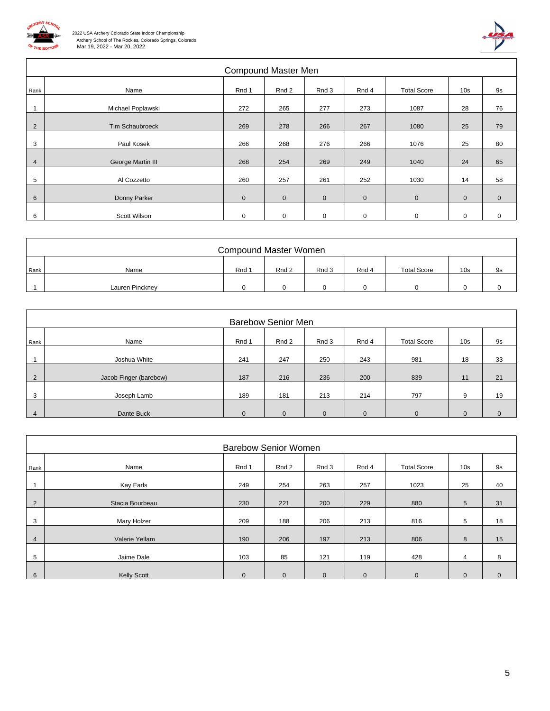

 $\sqrt{ }$ 



|                | Compound Master Men |              |             |             |             |                    |                 |             |  |  |  |  |  |
|----------------|---------------------|--------------|-------------|-------------|-------------|--------------------|-----------------|-------------|--|--|--|--|--|
| Rank           | Name                | Rnd 1        | Rnd 2       | Rnd 3       | Rnd 4       | <b>Total Score</b> | 10 <sub>s</sub> | <b>9s</b>   |  |  |  |  |  |
|                | Michael Poplawski   | 272          | 265         | 277         | 273         | 1087               | 28              | 76          |  |  |  |  |  |
| 2              | Tim Schaubroeck     | 269          | 278         | 266         | 267         | 1080               | 25              | 79          |  |  |  |  |  |
| 3              | Paul Kosek          | 266          | 268         | 276         | 266         | 1076               | 25              | 80          |  |  |  |  |  |
| $\overline{4}$ | George Martin III   | 268          | 254         | 269         | 249         | 1040               | 24              | 65          |  |  |  |  |  |
| 5              | Al Cozzetto         | 260          | 257         | 261         | 252         | 1030               | 14              | 58          |  |  |  |  |  |
| 6              | Donny Parker        | $\mathbf{0}$ | $\mathbf 0$ | $\mathbf 0$ | $\mathbf 0$ | $\mathbf{0}$       | $\mathbf 0$     | $\mathbf 0$ |  |  |  |  |  |
| 6              | Scott Wilson        | 0            | $\mathbf 0$ | $\mathbf 0$ | $\mathbf 0$ | $\mathbf 0$        | $\mathbf 0$     | $\mathbf 0$ |  |  |  |  |  |

| <b>Compound Master Women</b> |       |       |       |       |                    |                 |    |  |  |  |
|------------------------------|-------|-------|-------|-------|--------------------|-----------------|----|--|--|--|
| Name                         | Rnd 1 | Rnd 2 | Rnd 3 | Rnd 4 | <b>Total Score</b> | 10 <sub>s</sub> | 9s |  |  |  |
| Lauren Pinckney              |       |       |       |       |                    |                 |    |  |  |  |
|                              |       |       |       |       |                    |                 |    |  |  |  |

|      | <b>Barebow Senior Men</b> |          |          |          |          |                    |                 |           |  |  |  |  |
|------|---------------------------|----------|----------|----------|----------|--------------------|-----------------|-----------|--|--|--|--|
| Rank | Name                      | Rnd 1    | Rnd 2    | Rnd 3    | Rnd 4    | <b>Total Score</b> | 10 <sub>s</sub> | <b>9s</b> |  |  |  |  |
|      | Joshua White              | 241      | 247      | 250      | 243      | 981                | 18              | 33        |  |  |  |  |
| 2    | Jacob Finger (barebow)    | 187      | 216      | 236      | 200      | 839                | 11              | 21        |  |  |  |  |
| 3    | Joseph Lamb               | 189      | 181      | 213      | 214      | 797                | 9               | 19        |  |  |  |  |
| 4    | Dante Buck                | $\Omega$ | $\Omega$ | $\Omega$ | $\Omega$ | $\Omega$           | $\Omega$        | $\Omega$  |  |  |  |  |

|                | <b>Barebow Senior Women</b> |              |              |              |              |                    |                 |              |  |  |  |  |
|----------------|-----------------------------|--------------|--------------|--------------|--------------|--------------------|-----------------|--------------|--|--|--|--|
| Rank           | Name                        | Rnd 1        | Rnd 2        | Rnd 3        | Rnd 4        | <b>Total Score</b> | 10 <sub>s</sub> | <b>9s</b>    |  |  |  |  |
|                | Kay Earls                   | 249          | 254          | 263          | 257          | 1023               | 25              | 40           |  |  |  |  |
| $\overline{2}$ | Stacia Bourbeau             | 230          | 221          | 200          | 229          | 880                | 5               | 31           |  |  |  |  |
| 3              | Mary Holzer                 | 209          | 188          | 206          | 213          | 816                | 5               | 18           |  |  |  |  |
| 4              | Valerie Yellam              | 190          | 206          | 197          | 213          | 806                | 8               | 15           |  |  |  |  |
| 5              | Jaime Dale                  | 103          | 85           | 121          | 119          | 428                | 4               | 8            |  |  |  |  |
|                |                             |              |              |              |              |                    |                 |              |  |  |  |  |
| 6              | <b>Kelly Scott</b>          | $\mathbf{0}$ | $\mathbf{0}$ | $\mathbf{0}$ | $\mathbf{0}$ | $\mathbf{0}$       | $\mathbf{0}$    | $\mathbf{0}$ |  |  |  |  |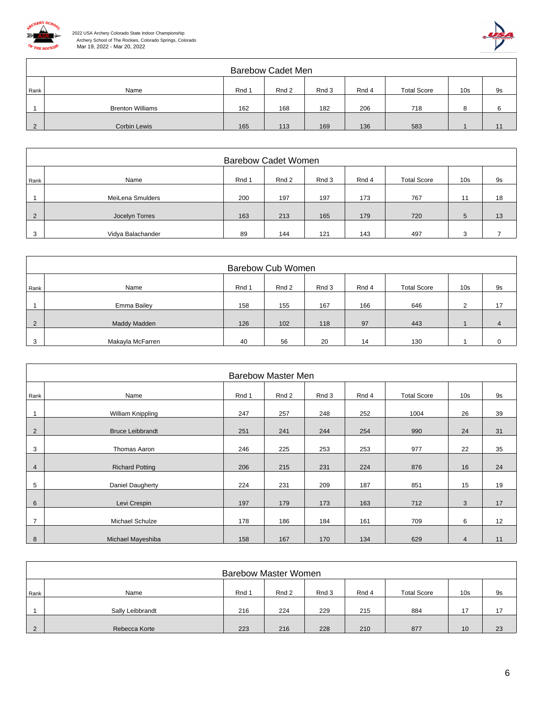



|      | <b>Barebow Cadet Men</b> |       |       |       |       |                    |                 |    |  |  |  |
|------|--------------------------|-------|-------|-------|-------|--------------------|-----------------|----|--|--|--|
| Rank | Name                     | Rnd 1 | Rnd 2 | Rnd 3 | Rnd 4 | <b>Total Score</b> | 10 <sub>s</sub> | 9s |  |  |  |
|      | <b>Brenton Williams</b>  | 162   | 168   | 182   | 206   | 718                |                 |    |  |  |  |
|      | Corbin Lewis             | 165   | 113   | 169   | 136   | 583                |                 |    |  |  |  |

|      | <b>Barebow Cadet Women</b> |       |       |       |       |                    |                 |    |  |  |  |
|------|----------------------------|-------|-------|-------|-------|--------------------|-----------------|----|--|--|--|
| Rank | Name                       | Rnd 1 | Rnd 2 | Rnd 3 | Rnd 4 | <b>Total Score</b> | 10 <sub>s</sub> | 9s |  |  |  |
|      |                            |       |       |       |       |                    |                 |    |  |  |  |
|      | MeiLena Smulders           | 200   | 197   | 197   | 173   | 767                | 11              | 18 |  |  |  |
|      |                            |       |       |       |       |                    |                 |    |  |  |  |
|      | Jocelyn Torres             | 163   | 213   | 165   | 179   | 720                | 5               | 13 |  |  |  |
|      |                            |       |       |       |       |                    |                 |    |  |  |  |
|      | Vidya Balachander          | 89    | 144   | 121   | 143   | 497                |                 |    |  |  |  |

|      | Barebow Cub Women |       |       |       |       |                    |                 |    |  |  |  |
|------|-------------------|-------|-------|-------|-------|--------------------|-----------------|----|--|--|--|
| Rank | Name              | Rnd 1 | Rnd 2 | Rnd 3 | Rnd 4 | <b>Total Score</b> | 10 <sub>s</sub> | 9s |  |  |  |
|      | Emma Bailey       | 158   | 155   | 167   | 166   | 646                | ◠               | 17 |  |  |  |
|      | Maddy Madden      | 126   | 102   | 118   | 97    | 443                |                 |    |  |  |  |
|      | Makayla McFarren  | 40    | 56    | 20    | 14    | 130                |                 |    |  |  |  |

|                | <b>Barebow Master Men</b> |       |       |       |       |                    |                 |           |  |  |  |  |
|----------------|---------------------------|-------|-------|-------|-------|--------------------|-----------------|-----------|--|--|--|--|
| Rank           | Name                      | Rnd 1 | Rnd 2 | Rnd 3 | Rnd 4 | <b>Total Score</b> | 10 <sub>s</sub> | <b>9s</b> |  |  |  |  |
|                | William Knippling         | 247   | 257   | 248   | 252   | 1004               | 26              | 39        |  |  |  |  |
| 2              | <b>Bruce Leibbrandt</b>   | 251   | 241   | 244   | 254   | 990                | 24              | 31        |  |  |  |  |
| 3              | Thomas Aaron              | 246   | 225   | 253   | 253   | 977                | 22              | 35        |  |  |  |  |
| 4              | <b>Richard Potting</b>    | 206   | 215   | 231   | 224   | 876                | 16              | 24        |  |  |  |  |
| 5              | Daniel Daugherty          | 224   | 231   | 209   | 187   | 851                | 15              | 19        |  |  |  |  |
| 6              | Levi Crespin              | 197   | 179   | 173   | 163   | 712                | 3               | 17        |  |  |  |  |
| $\overline{7}$ | Michael Schulze           | 178   | 186   | 184   | 161   | 709                | 6               | 12        |  |  |  |  |
| 8              | Michael Mayeshiba         | 158   | 167   | 170   | 134   | 629                | $\overline{4}$  | 11        |  |  |  |  |

|          | <b>Barebow Master Women</b> |       |       |       |       |                    |                 |    |  |  |  |
|----------|-----------------------------|-------|-------|-------|-------|--------------------|-----------------|----|--|--|--|
| Rank     | Name                        | Rnd 1 | Rnd 2 | Rnd 3 | Rnd 4 | <b>Total Score</b> | 10 <sub>s</sub> | 9s |  |  |  |
|          | Sally Leibbrandt            | 216   | 224   | 229   | 215   | 884                | 17              | 17 |  |  |  |
| $\Omega$ | Rebecca Korte               | 223   | 216   | 228   | 210   | 877                | 10              | 23 |  |  |  |